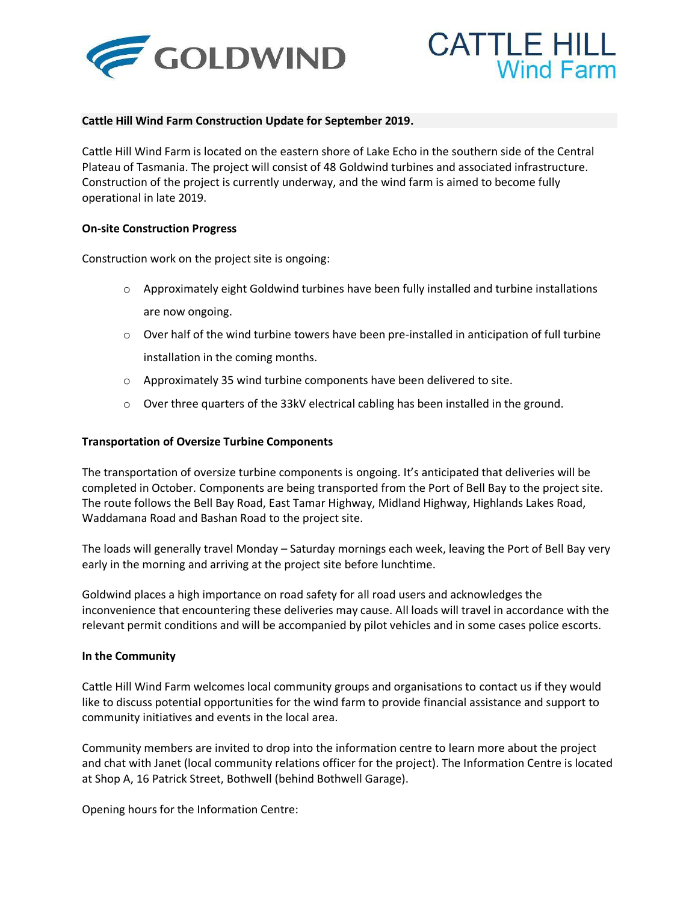



## **Cattle Hill Wind Farm Construction Update for September 2019.**

Cattle Hill Wind Farm is located on the eastern shore of Lake Echo in the southern side of the Central Plateau of Tasmania. The project will consist of 48 Goldwind turbines and associated infrastructure. Construction of the project is currently underway, and the wind farm is aimed to become fully operational in late 2019.

## **On-site Construction Progress**

Construction work on the project site is ongoing:

- $\circ$  Approximately eight Goldwind turbines have been fully installed and turbine installations are now ongoing.
- $\circ$  Over half of the wind turbine towers have been pre-installed in anticipation of full turbine installation in the coming months.
- o Approximately 35 wind turbine components have been delivered to site.
- o Over three quarters of the 33kV electrical cabling has been installed in the ground.

## **Transportation of Oversize Turbine Components**

The transportation of oversize turbine components is ongoing. It's anticipated that deliveries will be completed in October. Components are being transported from the Port of Bell Bay to the project site. The route follows the Bell Bay Road, East Tamar Highway, Midland Highway, Highlands Lakes Road, Waddamana Road and Bashan Road to the project site.

The loads will generally travel Monday – Saturday mornings each week, leaving the Port of Bell Bay very early in the morning and arriving at the project site before lunchtime.

Goldwind places a high importance on road safety for all road users and acknowledges the inconvenience that encountering these deliveries may cause. All loads will travel in accordance with the relevant permit conditions and will be accompanied by pilot vehicles and in some cases police escorts.

## **In the Community**

Cattle Hill Wind Farm welcomes local community groups and organisations to contact us if they would like to discuss potential opportunities for the wind farm to provide financial assistance and support to community initiatives and events in the local area.

Community members are invited to drop into the information centre to learn more about the project and chat with Janet (local community relations officer for the project). The Information Centre is located at Shop A, 16 Patrick Street, Bothwell (behind Bothwell Garage).

Opening hours for the Information Centre: